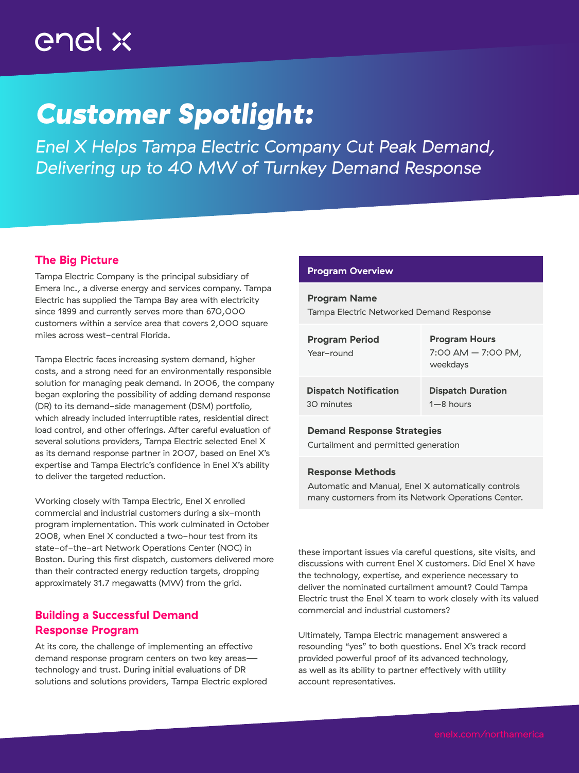# enel x

# *Customer Spotlight:*

*Enel X Helps Tampa Electric Company Cut Peak Demand, Delivering up to 40 MW of Turnkey Demand Response*

## The Big Picture

Tampa Electric Company is the principal subsidiary of Emera Inc., a diverse energy and services company. Tampa Electric has supplied the Tampa Bay area with electricity since 1899 and currently serves more than 670,000 customers within a service area that covers 2,000 square miles across west-central Florida.

Tampa Electric faces increasing system demand, higher costs, and a strong need for an environmentally responsible solution for managing peak demand. In 2006, the company began exploring the possibility of adding demand response (DR) to its demand-side management (DSM) portfolio, which already included interruptible rates, residential direct load control, and other offerings. After careful evaluation of several solutions providers, Tampa Electric selected Enel X as its demand response partner in 2007, based on Enel X's expertise and Tampa Electric's confidence in Enel X's ability to deliver the targeted reduction.

Working closely with Tampa Electric, Enel X enrolled commercial and industrial customers during a six-month program implementation. This work culminated in October 2008, when Enel X conducted a two-hour test from its state-of-the-art Network Operations Center (NOC) in Boston. During this first dispatch, customers delivered more than their contracted energy reduction targets, dropping approximately 31.7 megawatts (MW) from the grid.

## Building a Successful Demand Response Program

At its core, the challenge of implementing an effective demand response program centers on two key areastechnology and trust. During initial evaluations of DR solutions and solutions providers, Tampa Electric explored

## Program Overview

Program Name Tampa Electric Networked Demand Response

| <b>Program Period</b><br>Year-round | <b>Program Hours</b><br>$7:00$ AM $-7:00$ PM,<br>weekdays |
|-------------------------------------|-----------------------------------------------------------|
| <b>Dispatch Notification</b>        | <b>Dispatch Duration</b>                                  |
| 30 minutes                          | $1 - 8$ hours                                             |

#### Demand Response Strategies

Curtailment and permitted generation

### Response Methods

Automatic and Manual, Enel X automatically controls many customers from its Network Operations Center.

these important issues via careful questions, site visits, and discussions with current Enel X customers. Did Enel X have the technology, expertise, and experience necessary to deliver the nominated curtailment amount? Could Tampa Electric trust the Enel X team to work closely with its valued commercial and industrial customers?

Ultimately, Tampa Electric management answered a resounding "yes" to both questions. Enel X's track record provided powerful proof of its advanced technology, as well as its ability to partner effectively with utility account representatives.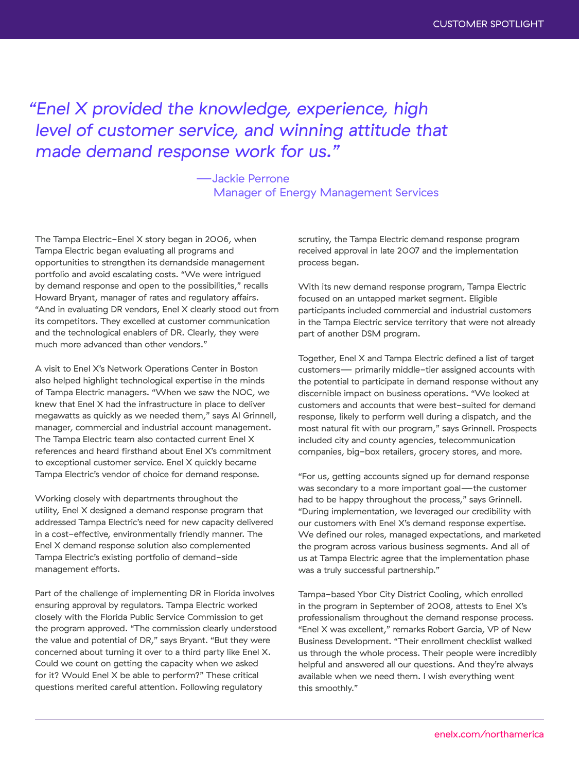## *"Enel X provided the knowledge, experience, high level of customer service, and winning attitude that made demand response work for us."*

—Jackie Perrone Manager of Energy Management Services

The Tampa Electric-Enel X story began in 2006, when Tampa Electric began evaluating all programs and opportunities to strengthen its demandside management portfolio and avoid escalating costs. "We were intrigued by demand response and open to the possibilities," recalls Howard Bryant, manager of rates and regulatory affairs. "And in evaluating DR vendors, Enel X clearly stood out from its competitors. They excelled at customer communication and the technological enablers of DR. Clearly, they were much more advanced than other vendors."

A visit to Enel X's Network Operations Center in Boston also helped highlight technological expertise in the minds of Tampa Electric managers. "When we saw the NOC, we knew that Enel X had the infrastructure in place to deliver megawatts as quickly as we needed them," says Al Grinnell, manager, commercial and industrial account management. The Tampa Electric team also contacted current Enel X references and heard firsthand about Enel X's commitment to exceptional customer service. Enel X quickly became Tampa Electric's vendor of choice for demand response.

Working closely with departments throughout the utility, Enel X designed a demand response program that addressed Tampa Electric's need for new capacity delivered in a cost-effective, environmentally friendly manner. The Enel X demand response solution also complemented Tampa Electric's existing portfolio of demand-side management efforts.

Part of the challenge of implementing DR in Florida involves ensuring approval by regulators. Tampa Electric worked closely with the Florida Public Service Commission to get the program approved. "The commission clearly understood the value and potential of DR," says Bryant. "But they were concerned about turning it over to a third party like Enel X. Could we count on getting the capacity when we asked for it? Would Enel X be able to perform?" These critical questions merited careful attention. Following regulatory

scrutiny, the Tampa Electric demand response program received approval in late 2007 and the implementation process began.

With its new demand response program, Tampa Electric focused on an untapped market segment. Eligible participants included commercial and industrial customers in the Tampa Electric service territory that were not already part of another DSM program.

Together, Enel X and Tampa Electric defined a list of target customers— primarily middle-tier assigned accounts with the potential to participate in demand response without any discernible impact on business operations. "We looked at customers and accounts that were best-suited for demand response, likely to perform well during a dispatch, and the most natural fit with our program," says Grinnell. Prospects included city and county agencies, telecommunication companies, big-box retailers, grocery stores, and more.

"For us, getting accounts signed up for demand response was secondary to a more important goal—the customer had to be happy throughout the process," says Grinnell. "During implementation, we leveraged our credibility with our customers with Enel X's demand response expertise. We defined our roles, managed expectations, and marketed the program across various business segments. And all of us at Tampa Electric agree that the implementation phase was a truly successful partnership."

Tampa-based Ybor City District Cooling, which enrolled in the program in September of 2008, attests to Enel X's professionalism throughout the demand response process. "Enel X was excellent," remarks Robert Garcia, VP of New Business Development. "Their enrollment checklist walked us through the whole process. Their people were incredibly helpful and answered all our questions. And they're always available when we need them. I wish everything went this smoothly."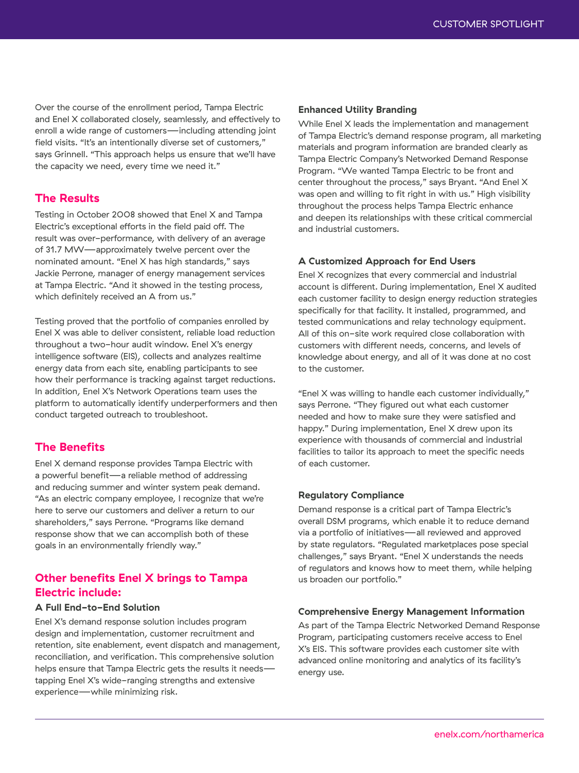Over the course of the enrollment period, Tampa Electric and Enel X collaborated closely, seamlessly, and effectively to enroll a wide range of customers—including attending joint field visits. "It's an intentionally diverse set of customers," says Grinnell. "This approach helps us ensure that we'll have the capacity we need, every time we need it."

## The Results

Testing in October 2008 showed that Enel X and Tampa Electric's exceptional efforts in the field paid off. The result was over-performance, with delivery of an average of 31.7 MW—approximately twelve percent over the nominated amount. "Enel X has high standards," says Jackie Perrone, manager of energy management services at Tampa Electric. "And it showed in the testing process, which definitely received an A from us."

Testing proved that the portfolio of companies enrolled by Enel X was able to deliver consistent, reliable load reduction throughout a two-hour audit window. Enel X's energy intelligence software (EIS), collects and analyzes realtime energy data from each site, enabling participants to see how their performance is tracking against target reductions. In addition, Enel X's Network Operations team uses the platform to automatically identify underperformers and then conduct targeted outreach to troubleshoot.

## The Benefits

Enel X demand response provides Tampa Electric with a powerful benefit—a reliable method of addressing and reducing summer and winter system peak demand. "As an electric company employee, I recognize that we're here to serve our customers and deliver a return to our shareholders," says Perrone. "Programs like demand response show that we can accomplish both of these goals in an environmentally friendly way."

## Other benefits Enel X brings to Tampa Electric include:

## A Full End-to-End Solution

Enel X's demand response solution includes program design and implementation, customer recruitment and retention, site enablement, event dispatch and management, reconciliation, and verification. This comprehensive solution helps ensure that Tampa Electric gets the results it needstapping Enel X's wide-ranging strengths and extensive experience—while minimizing risk.

#### Enhanced Utility Branding

While Enel X leads the implementation and management of Tampa Electric's demand response program, all marketing materials and program information are branded clearly as Tampa Electric Company's Networked Demand Response Program. "We wanted Tampa Electric to be front and center throughout the process," says Bryant. "And Enel X was open and willing to fit right in with us." High visibility throughout the process helps Tampa Electric enhance and deepen its relationships with these critical commercial and industrial customers.

## A Customized Approach for End Users

Enel X recognizes that every commercial and industrial account is different. During implementation, Enel X audited each customer facility to design energy reduction strategies specifically for that facility. It installed, programmed, and tested communications and relay technology equipment. All of this on-site work required close collaboration with customers with different needs, concerns, and levels of knowledge about energy, and all of it was done at no cost to the customer.

"Enel X was willing to handle each customer individually," says Perrone. "They figured out what each customer needed and how to make sure they were satisfied and happy." During implementation, Enel X drew upon its experience with thousands of commercial and industrial facilities to tailor its approach to meet the specific needs of each customer.

#### Regulatory Compliance

Demand response is a critical part of Tampa Electric's overall DSM programs, which enable it to reduce demand via a portfolio of initiatives—all reviewed and approved by state regulators. "Regulated marketplaces pose special challenges," says Bryant. "Enel X understands the needs of regulators and knows how to meet them, while helping us broaden our portfolio."

#### Comprehensive Energy Management Information

As part of the Tampa Electric Networked Demand Response Program, participating customers receive access to Enel X's EIS. This software provides each customer site with advanced online monitoring and analytics of its facility's energy use.